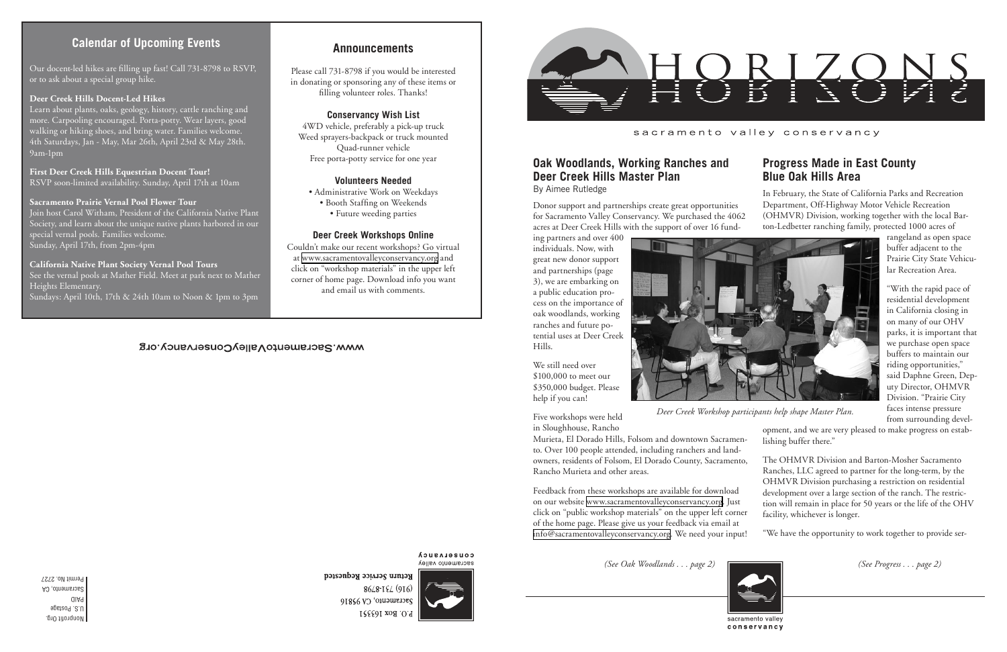Nonprofit Org. U.S. Postage PAID Sacramento, CA Permit No. 2727

### sacramento valley conservancy

*(See Progress . . . page 2)*

## **Oak Woodlands, Working Ranches and Deer Creek Hills Master Plan**

By Aimee Rutledge

ing partners and over 400 individuals. Now, with great new donor support and partnerships (page 3), we are embarking on a public education process on the importance of oak woodlands, working ranches and future potential uses at Deer Creek Hills.

We still need over \$100,000 to meet our \$350,000 budget. Please

help if you can!

Five workshops were held



*Deer Creek Workshop participants help shape Master Plan.*

Our docent-led hikes are filling up fast! Call 731-8798 to RSVP, or to ask about a special group hike.

> Donor support and partnerships create great opportunities for Sacramento Valley Conservancy. We purchased the 4062 acres at Deer Creek Hills with the support of over 16 fund-In February, the State of California Parks and Recreation Department, Off-Highway Motor Vehicle Recreation (OHMVR) Division, working together with the local Barton-Ledbetter ranching family, protected 1000 acres of

#### **Deer Creek Hills Docent-Led Hikes**

Learn about plants, oaks, geology, history, cattle ranching and more. Carpooling encouraged. Porta-potty. Wear layers, good walking or hiking shoes, and bring water. Families welcome. 4th Saturdays, Jan - May, Mar 26th, April 23rd & May 28th. 9am-1pm

**First Deer Creek Hills Equestrian Docent Tour!** RSVP soon-limited availability. Sunday, April 17th at 10am

#### **Sacramento Prairie Vernal Pool Flower Tour**

in Sloughhouse, Rancho Murieta, El Dorado Hills, Folsom and downtown Sacramento. Over 100 people attended, including ranchers and landowners, residents of Folsom, El Dorado County, Sacramento, Rancho Murieta and other areas. opment, and we are very pleased to make progress on establishing buffer there." The OHMVR Division and Barton-Mosher Sacramento Ranches, LLC agreed to partner for the long-term, by the

Join host Carol Witham, President of the California Native Plant Society, and learn about the unique native plants harbored in our special vernal pools. Families welcome. Sunday, April 17th, from 2pm-4pm

#### **California Native Plant Society Vernal Pool Tours**

See the vernal pools at Mather Field. Meet at park next to Mather Heights Elementary.

> Feedback from these workshops are available for download on our website [www.sacramentovalleyconservancy.org](http://www.sacramentovalleyconservancy.org). Just click on "public workshop materials" on the upper left corner of the home page. Please give us your feedback via email at [info@sacramentovalleyconservancy.org.](mailto:info@sacramentovalleyconservancy.org) We need your input! OHMVR Division purchasing a restriction on residential development over a large section of the ranch. The restriction will remain in place for 50 years or the life of the OHV facility, whichever is longer. "We have the opportunity to work together to provide ser-

Sundays: April 10th, 17th & 24th 10am to Noon & 1pm to 3pm

### WWW.SacramentoValleyConservancy.org

## **Calendar of Upcoming Events**

## **Progress Made in East County Blue Oak Hills Area**

rangeland as open space buffer adjacent to the Prairie City State Vehicular Recreation Area.

"With the rapid pace of residential development in California closing in on many of our OHV parks, it is important that we purchase open space buffers to maintain our riding opportunities," said Daphne Green, Deputy Director, OHMVR Division. "Prairie City faces intense pressure from surrounding devel-

*(See Oak Woodlands . . . page 2)*



conservancy

Sacramento, CA 95816

**Announcements**

Please call 731-8798 if you would be interested in donating or sponsoring any of these items or filling volunteer roles. Thanks!

#### **Conservancy Wish List**

4WD vehicle, preferably a pick-up truck Weed sprayers-backpack or truck mounted Quad-runner vehicle Free porta-potty service for one year

#### **Volunteers Needed**

• Administrative Work on Weekdays • Booth Staffing on Weekends • Future weeding parties

#### **Deer Creek Workshops Online**

Couldn't make our recent workshops? Go virtual at [www.sacramentovalleyconservancy.org](http://www.sacramentovalleyconservancy.org) and click on "workshop materials" in the upper left corner of home page. Download info you want and email us with comments.

#### **COUSELASUCA** sacramento valley

Return Service Requested 8648-194 (916) P.O. Box 163551